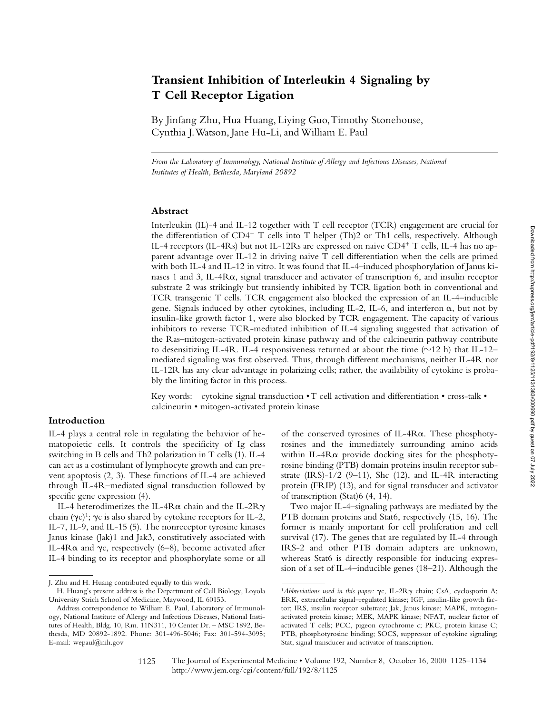# **Transient Inhibition of Interleukin 4 Signaling by T Cell Receptor Ligation**

By Jinfang Zhu, Hua Huang, Liying Guo, Timothy Stonehouse, Cynthia J. Watson, Jane Hu-Li, and William E. Paul

*From the Laboratory of Immunology, National Institute of Allergy and Infectious Diseases, National Institutes of Health, Bethesda, Maryland 20892*

#### **Abstract**

Interleukin (IL)-4 and IL-12 together with T cell receptor (TCR) engagement are crucial for the differentiation of  $CD4^+$  T cells into T helper (Th)2 or Th1 cells, respectively. Although IL-4 receptors (IL-4Rs) but not IL-12Rs are expressed on naive CD4<sup>+</sup> T cells, IL-4 has no apparent advantage over IL-12 in driving naive T cell differentiation when the cells are primed with both IL-4 and IL-12 in vitro. It was found that IL-4–induced phosphorylation of Janus kinases 1 and 3, IL-4Ra, signal transducer and activator of transcription 6, and insulin receptor substrate 2 was strikingly but transiently inhibited by TCR ligation both in conventional and TCR transgenic T cells. TCR engagement also blocked the expression of an IL-4–inducible gene. Signals induced by other cytokines, including IL-2, IL-6, and interferon  $\alpha$ , but not by insulin-like growth factor 1, were also blocked by TCR engagement. The capacity of various inhibitors to reverse TCR-mediated inhibition of IL-4 signaling suggested that activation of the Ras–mitogen-activated protein kinase pathway and of the calcineurin pathway contribute to desensitizing IL-4R. IL-4 responsiveness returned at about the time  $(\sim 12 \text{ h})$  that IL-12– mediated signaling was first observed. Thus, through different mechanisms, neither IL-4R nor IL-12R has any clear advantage in polarizing cells; rather, the availability of cytokine is probably the limiting factor in this process.

Key words: cytokine signal transduction • T cell activation and differentiation • cross-talk • calcineurin • mitogen-activated protein kinase

## **Introduction**

IL-4 plays a central role in regulating the behavior of hematopoietic cells. It controls the specificity of Ig class switching in B cells and Th2 polarization in T cells (1). IL-4 can act as a costimulant of lymphocyte growth and can prevent apoptosis (2, 3). These functions of IL-4 are achieved through IL-4R–mediated signal transduction followed by specific gene expression (4).

IL-4 heterodimerizes the IL-4R $\alpha$  chain and the IL-2R $\gamma$ chain  $(\gamma c)^1$ ;  $\gamma c$  is also shared by cytokine receptors for IL-2, IL-7, IL-9, and IL-15 (5). The nonreceptor tyrosine kinases Janus kinase (Jak)1 and Jak3, constitutively associated with IL-4R $\alpha$  and  $\gamma c$ , respectively (6–8), become activated after IL-4 binding to its receptor and phosphorylate some or all

of the conserved tyrosines of IL-4R $\alpha$ . These phosphotyrosines and the immediately surrounding amino acids within IL-4Ra provide docking sites for the phosphotyrosine binding (PTB) domain proteins insulin receptor substrate (IRS)- $1/2$  (9-11), Shc (12), and IL-4R interacting protein (FRIP) (13), and for signal transducer and activator of transcription (Stat)6 (4, 14).

Two major IL-4–signaling pathways are mediated by the PTB domain proteins and Stat6, respectively (15, 16). The former is mainly important for cell proliferation and cell survival (17). The genes that are regulated by IL-4 through IRS-2 and other PTB domain adapters are unknown, whereas Stat6 is directly responsible for inducing expression of a set of IL-4–inducible genes (18–21). Although the

1125

J. Zhu and H. Huang contributed equally to this work.

H. Huang's present address is the Department of Cell Biology, Loyola University Strich School of Medicine, Maywood, IL 60153.

Address correspondence to William E. Paul, Laboratory of Immunology, National Institute of Allergy and Infectious Diseases, National Institutes of Health, Bldg. 10, Rm. 11N311, 10 Center Dr. – MSC 1892, Bethesda, MD 20892-1892. Phone: 301-496-5046; Fax: 301-594-3095; E-mail: wepaul@nih.gov

<sup>&</sup>lt;sup>1</sup>Abbreviations used in this paper: γc, IL-2Rγ chain; CsA, cyclosporin A; ERK, extracellular signal–regulated kinase; IGF, insulin-like growth factor; IRS, insulin receptor substrate; Jak, Janus kinase; MAPK, mitogenactivated protein kinase; MEK, MAPK kinase; NFAT, nuclear factor of activated T cells; PCC, pigeon cytochrome c; PKC, protein kinase C; PTB, phosphotyrosine binding; SOCS, suppressor of cytokine signaling; Stat, signal transducer and activator of transcription.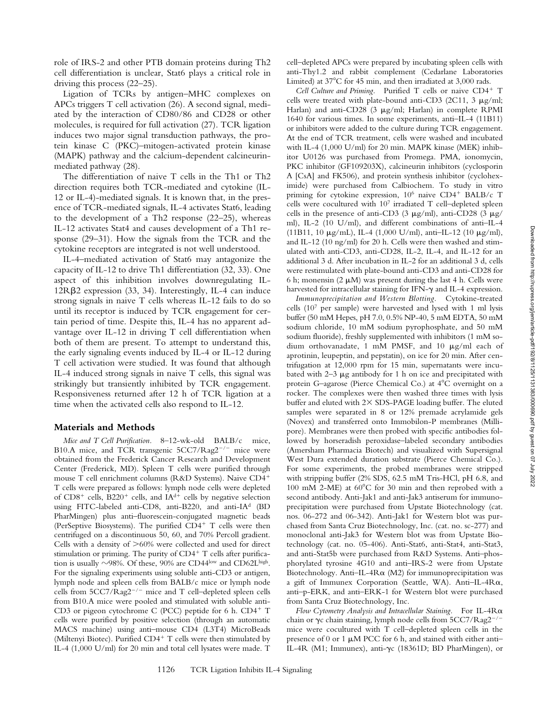role of IRS-2 and other PTB domain proteins during Th2 cell differentiation is unclear, Stat6 plays a critical role in driving this process (22–25).

Ligation of TCRs by antigen–MHC complexes on APCs triggers T cell activation (26). A second signal, mediated by the interaction of CD80/86 and CD28 or other molecules, is required for full activation (27). TCR ligation induces two major signal transduction pathways, the protein kinase C (PKC)–mitogen-activated protein kinase (MAPK) pathway and the calcium-dependent calcineurinmediated pathway (28).

The differentiation of naive T cells in the Th1 or Th2 direction requires both TCR-mediated and cytokine (IL-12 or IL-4)-mediated signals. It is known that, in the presence of TCR-mediated signals, IL-4 activates Stat6, leading to the development of a Th2 response (22–25), whereas IL-12 activates Stat4 and causes development of a Th1 response (29–31). How the signals from the TCR and the cytokine receptors are integrated is not well understood.

IL-4–mediated activation of Stat6 may antagonize the capacity of IL-12 to drive Th1 differentiation (32, 33). One aspect of this inhibition involves downregulating IL- $12R\beta2$  expression (33, 34). Interestingly, IL-4 can induce strong signals in naive T cells whereas IL-12 fails to do so until its receptor is induced by TCR engagement for certain period of time. Despite this, IL-4 has no apparent advantage over IL-12 in driving T cell differentiation when both of them are present. To attempt to understand this, the early signaling events induced by IL-4 or IL-12 during T cell activation were studied. It was found that although IL-4 induced strong signals in naive T cells, this signal was strikingly but transiently inhibited by TCR engagement. Responsiveness returned after 12 h of TCR ligation at a time when the activated cells also respond to IL-12.

#### **Materials and Methods**

*Mice and T Cell Purification.* 8–12-wk-old BALB/c mice, B10.A mice, and TCR transgenic 5CC7/Rag2<sup>-/-</sup> mice were obtained from the Frederick Cancer Research and Development Center (Frederick, MD). Spleen T cells were purified through mouse T cell enrichment columns (R&D Systems). Naive CD4<sup>+</sup> T cells were prepared as follows: lymph node cells were depleted of  $CD8^+$  cells,  $B220^+$  cells, and  $IA<sup>d+</sup>$  cells by negative selection using FITC-labeled anti-CD8, anti-B220, and anti-IAd (BD PharMingen) plus anti–fluorescein-conjugated magnetic beads (PerSeptive Biosystems). The purified  $CD4^+$  T cells were then centrifuged on a discontinuous 50, 60, and 70% Percoll gradient. Cells with a density of  $>60\%$  were collected and used for direct stimulation or priming. The purity of  $CD4^+$  T cells after purification is usually  $\sim$ 98%. Of these, 90% are CD44low and CD62Lhigh. For the signaling experiments using soluble anti-CD3 or antigen, lymph node and spleen cells from BALB/c mice or lymph node cells from  $5CC7/Rag2^{-/-}$  mice and T cell-depleted spleen cells from B10.A mice were pooled and stimulated with soluble anti-CD3 or pigeon cytochrome C (PCC) peptide for 6 h.  $CD4<sup>+</sup> T$ cells were purified by positive selection (through an automatic MACS machine) using anti–mouse CD4 (L3T4) MicroBeads (Miltenyi Biotec). Purified  $CD4^+$  T cells were then stimulated by IL-4 (1,000 U/ml) for 20 min and total cell lysates were made. T

cell–depleted APCs were prepared by incubating spleen cells with anti-Thy1.2 and rabbit complement (Cedarlane Laboratories Limited) at  $37^{\circ}$ C for 45 min, and then irradiated at 3,000 rads.

*Cell Culture and Priming.* Purified T cells or naive CD4<sup>+</sup> T cells were treated with plate-bound anti-CD3 (2C11, 3  $\mu$ g/ml; Harlan) and anti-CD28 (3  $\mu$ g/ml; Harlan) in complete RPMI 1640 for various times. In some experiments, anti–IL-4 (11B11) or inhibitors were added to the culture during TCR engagement. At the end of TCR treatment, cells were washed and incubated with IL-4 (1,000 U/ml) for 20 min. MAPK kinase (MEK) inhibitor U0126 was purchased from Promega. PMA, ionomycin, PKC inhibitor (GF109203X), calcineurin inhibitors (cyclosporin A [CsA] and FK506), and protein synthesis inhibitor (cycloheximide) were purchased from Calbiochem. To study in vitro priming for cytokine expression,  $10^6$  naive CD4<sup>+</sup> BALB/c T cells were cocultured with 107 irradiated T cell–depleted spleen cells in the presence of anti-CD3 (3  $\mu$ g/ml), anti-CD28 (3  $\mu$ g/ ml), IL-2 (10 U/ml), and different combinations of anti–IL-4 (11B11, 10  $\mu$ g/mL), IL-4 (1,000 U/ml), anti-IL-12 (10  $\mu$ g/ml), and IL-12 (10 ng/ml) for 20 h. Cells were then washed and stimulated with anti-CD3, anti-CD28, IL-2, IL-4, and IL-12 for an additional 3 d. After incubation in IL-2 for an additional 3 d, cells were restimulated with plate-bound anti-CD3 and anti-CD28 for 6 h; monensin (2  $\mu$ M) was present during the last 4 h. Cells were harvested for intracellular staining for IFN- $\gamma$  and IL-4 expression.

*Immunoprecipitation and Western Blotting.* Cytokine-treated cells (107 per sample) were harvested and lysed with 1 ml lysis buffer (50 mM Hepes, pH 7.0, 0.5% NP-40, 5 mM EDTA, 50 mM sodium chloride, 10 mM sodium pyrophosphate, and 50 mM sodium fluoride), freshly supplemented with inhibitors (1 mM sodium orthovanadate, 1 mM PMSF, and 10  $\mu$ g/ml each of aprotinin, leupeptin, and pepstatin), on ice for 20 min. After centrifugation at 12,000 rpm for 15 min, supernatants were incubated with  $2-3 \mu$ g antibody for 1 h on ice and precipitated with protein G-agarose (Pierce Chemical Co.) at 4°C overnight on a rocker. The complexes were then washed three times with lysis buffer and eluted with  $2 \times$  SDS-PAGE loading buffer. The eluted samples were separated in 8 or 12% premade acrylamide gels (Novex) and transferred onto Immobilon-P membranes (Millipore). Membranes were then probed with specific antibodies followed by horseradish peroxidase–labeled secondary antibodies (Amersham Pharmacia Biotech) and visualized with Supersignal West Dura extended duration substrate (Pierce Chemical Co.). For some experiments, the probed membranes were stripped with stripping buffer (2% SDS, 62.5 mM Tris-HCl, pH 6.8, and 100 mM 2-ME) at  $60^{\circ}$ C for 30 min and then reprobed with a second antibody. Anti-Jak1 and anti-Jak3 antiserum for immunoprecipitation were purchased from Upstate Biotechnology (cat. nos. 06-272 and 06-342). Anti-Jak1 for Western blot was purchased from Santa Cruz Biotechnology, Inc. (cat. no. sc-277) and monoclonal anti-Jak3 for Western blot was from Upstate Biotechnology (cat. no. 05-406). Anti-Stat6, anti-Stat4, anti-Stat3, and anti-Stat5b were purchased from R&D Systems. Anti–phosphorylated tyrosine 4G10 and anti–IRS-2 were from Upstate Biotechnology. Anti–IL-4R $\alpha$  (M2) for immunoprecipitation was a gift of Immunex Corporation (Seattle, WA). Anti–IL-4Ra, anti–p-ERK, and anti–ERK-1 for Western blot were purchased from Santa Cruz Biotechnology, Inc.

*Flow Cytometry Analysis and Intracellular Staining.* For IL-4Ra chain or  $\gamma c$  chain staining, lymph node cells from  $5CC7/Rag2^{-/-}$ mice were cocultured with T cell–depleted spleen cells in the presence of 0 or 1  $\mu$ M PCC for 6 h, and stained with either anti-IL-4R (M1; Immunex), anti-gc (18361D; BD PharMingen), or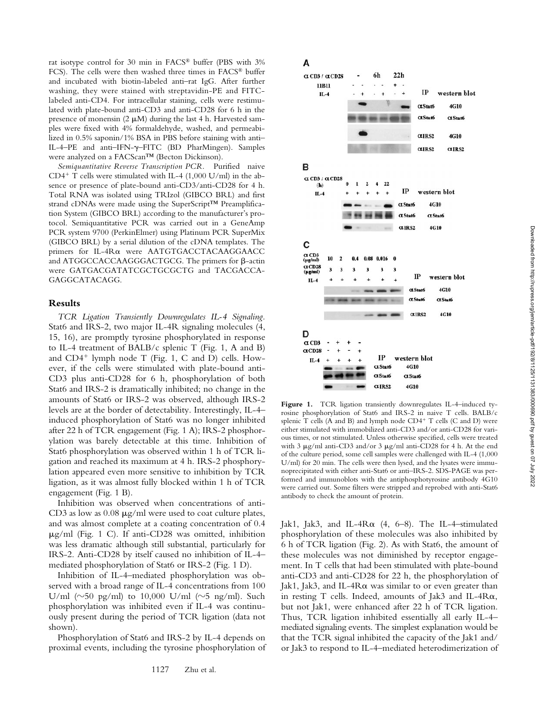rat isotype control for 30 min in FACS® buffer (PBS with 3% FCS). The cells were then washed three times in FACS® buffer and incubated with biotin-labeled anti–rat IgG. After further washing, they were stained with streptavidin-PE and FITClabeled anti-CD4. For intracellular staining, cells were restimulated with plate-bound anti-CD3 and anti-CD28 for 6 h in the presence of monensin  $(2 \mu M)$  during the last 4 h. Harvested samples were fixed with 4% formaldehyde, washed, and permeabilized in 0.5% saponin/1% BSA in PBS before staining with anti– IL-4–PE and anti–IFN-g–FITC (BD PharMingen). Samples were analyzed on a FACScan™ (Becton Dickinson).

*Semiquantitative Reverse Transcription PCR.* Purified naive CD4<sup>+</sup> T cells were stimulated with IL-4 (1,000 U/ml) in the absence or presence of plate-bound anti-CD3/anti-CD28 for 4 h. Total RNA was isolated using TRIzol (GIBCO BRL) and first strand cDNAs were made using the SuperScript™ Preamplification System (GIBCO BRL) according to the manufacturer's protocol. Semiquantitative PCR was carried out in a GeneAmp PCR system 9700 (PerkinElmer) using Platinum PCR SuperMix (GIBCO BRL) by a serial dilution of the cDNA templates. The primers for IL-4Ra were AATGTGACCTACAAGGAACC and ATGGCCACCAAGGGACTGCG. The primers for  $\beta$ -actin were GATGACGATATCGCTGCGCTG and TACGACCA-GAGGCATACAGG.

#### **Results**

*TCR Ligation Transiently Downregulates IL-4 Signaling.* Stat6 and IRS-2, two major IL-4R signaling molecules (4, 15, 16), are promptly tyrosine phosphorylated in response to IL-4 treatment of BALB/c splenic T (Fig. 1, A and B) and  $CD4^+$  lymph node T (Fig. 1, C and D) cells. However, if the cells were stimulated with plate-bound anti-CD3 plus anti-CD28 for 6 h, phosphorylation of both Stat6 and IRS-2 is dramatically inhibited; no change in the amounts of Stat6 or IRS-2 was observed, although IRS-2 levels are at the border of detectability. Interestingly, IL-4– induced phosphorylation of Stat6 was no longer inhibited after 22 h of TCR engagement (Fig. 1 A); IRS-2 phosphorylation was barely detectable at this time. Inhibition of Stat6 phosphorylation was observed within 1 h of TCR ligation and reached its maximum at 4 h. IRS-2 phosphorylation appeared even more sensitive to inhibition by TCR ligation, as it was almost fully blocked within 1 h of TCR engagement (Fig. 1 B).

Inhibition was observed when concentrations of anti-CD3 as low as  $0.08 \mu g/ml$  were used to coat culture plates, and was almost complete at a coating concentration of 0.4  $\mu$ g/ml (Fig. 1 C). If anti-CD28 was omitted, inhibition was less dramatic although still substantial, particularly for IRS-2. Anti-CD28 by itself caused no inhibition of IL-4– mediated phosphorylation of Stat6 or IRS-2 (Fig. 1 D).

Inhibition of IL-4–mediated phosphorylation was observed with a broad range of IL-4 concentrations from 100 U/ml ( $\sim$ 50 pg/ml) to 10,000 U/ml ( $\sim$ 5 ng/ml). Such phosphorylation was inhibited even if IL-4 was continuously present during the period of TCR ligation (data not shown).

Phosphorylation of Stat6 and IRS-2 by IL-4 depends on proximal events, including the tyrosine phosphorylation of

## Α



Figure 1. TCR ligation transiently downregulates IL-4-induced tyrosine phosphorylation of Stat6 and IRS-2 in naive T cells. BALB/c splenic  $T$  cells (A and B) and lymph node  $CD4^+$   $T$  cells (C and D) were either stimulated with immobilized anti-CD3 and/or anti-CD28 for various times, or not stimulated. Unless otherwise specified, cells were treated with 3  $\mu$ g/ml anti-CD3 and/or 3  $\mu$ g/ml anti-CD28 for 4 h. At the end of the culture period, some cell samples were challenged with IL-4 (1,000 U/ml) for 20 min. The cells were then lysed, and the lysates were immunoprecipitated with either anti-Stat6 or anti–IRS-2. SDS-PAGE was performed and immunoblots with the antiphosphotyrosine antibody 4G10 were carried out. Some filters were stripped and reprobed with anti-Stat6 antibody to check the amount of protein.

Jak1, Jak3, and IL-4R $\alpha$  (4, 6–8). The IL-4-stimulated phosphorylation of these molecules was also inhibited by 6 h of TCR ligation (Fig. 2). As with Stat6, the amount of these molecules was not diminished by receptor engagement. In T cells that had been stimulated with plate-bound anti-CD3 and anti-CD28 for 22 h, the phosphorylation of Jak1, Jak3, and IL-4 $R\alpha$  was similar to or even greater than in resting T cells. Indeed, amounts of Jak3 and IL-4Ra, but not Jak1, were enhanced after 22 h of TCR ligation. Thus, TCR ligation inhibited essentially all early IL-4– mediated signaling events. The simplest explanation would be that the TCR signal inhibited the capacity of the Jak1 and/ or Jak3 to respond to IL-4–mediated heterodimerization of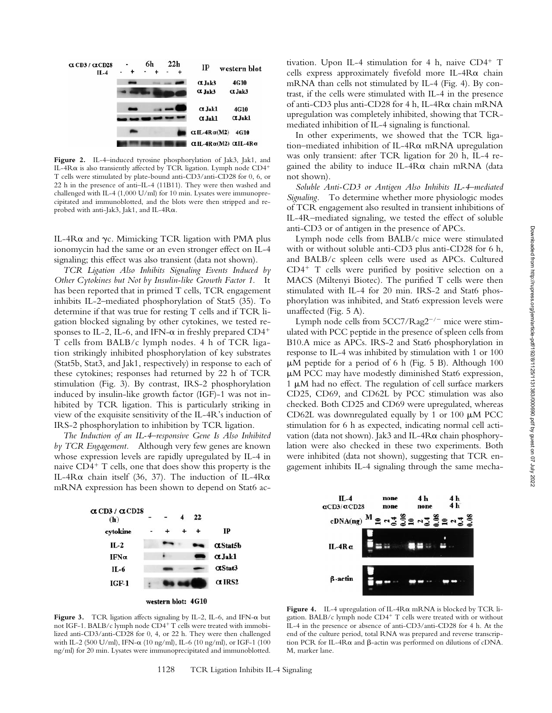

**Figure 2.** IL-4–induced tyrosine phosphorylation of Jak3, Jak1, and IL-4R $\alpha$  is also transiently affected by TCR ligation. Lymph node CD4<sup>+</sup> T cells were stimulated by plate-bound anti-CD3/anti-CD28 for 0, 6, or 22 h in the presence of anti–IL-4 (11B11). They were then washed and challenged with IL-4 (1,000 U/ml) for 10 min. Lysates were immunoprecipitated and immunoblotted, and the blots were then stripped and reprobed with anti-Jak3, Jak1, and IL-4Ra.

IL-4 $R\alpha$  and  $\gamma c$ . Mimicking TCR ligation with PMA plus ionomycin had the same or an even stronger effect on IL-4 signaling; this effect was also transient (data not shown).

*TCR Ligation Also Inhibits Signaling Events Induced by Other Cytokines but Not by Insulin-like Growth Factor 1.* It has been reported that in primed T cells, TCR engagement inhibits IL-2–mediated phosphorylation of Stat5 (35). To determine if that was true for resting T cells and if TCR ligation blocked signaling by other cytokines, we tested responses to IL-2, IL-6, and IFN- $\alpha$  in freshly prepared CD4<sup>+</sup> T cells from BALB/c lymph nodes. 4 h of TCR ligation strikingly inhibited phosphorylation of key substrates (Stat5b, Stat3, and Jak1, respectively) in response to each of these cytokines; responses had returned by 22 h of TCR stimulation (Fig. 3). By contrast, IRS-2 phosphorylation induced by insulin-like growth factor (IGF)-1 was not inhibited by TCR ligation. This is particularly striking in view of the exquisite sensitivity of the IL-4R's induction of IRS-2 phosphorylation to inhibition by TCR ligation.

*The Induction of an IL-4–responsive Gene Is Also Inhibited by TCR Engagement.* Although very few genes are known whose expression levels are rapidly upregulated by IL-4 in naive  $CD4^+$  T cells, one that does show this property is the IL-4R $\alpha$  chain itself (36, 37). The induction of IL-4R $\alpha$ mRNA expression has been shown to depend on Stat6 ac-



tivation. Upon IL-4 stimulation for 4 h, naive  $CD4^+$  T cells express approximately fivefold more IL- $4R\alpha$  chain mRNA than cells not stimulated by IL-4 (Fig. 4). By contrast, if the cells were stimulated with IL-4 in the presence of anti-CD3 plus anti-CD28 for 4 h, IL-4Ra chain mRNA upregulation was completely inhibited, showing that TCRmediated inhibition of IL-4 signaling is functional.

In other experiments, we showed that the TCR ligation–mediated inhibition of IL-4Ra mRNA upregulation was only transient: after TCR ligation for 20 h, IL-4 regained the ability to induce IL-4R $\alpha$  chain mRNA (data not shown).

*Soluble Anti-CD3 or Antigen Also Inhibits IL-4–mediated Signaling.* To determine whether more physiologic modes of TCR engagement also resulted in transient inhibitions of IL-4R–mediated signaling, we tested the effect of soluble anti-CD3 or of antigen in the presence of APCs.

Lymph node cells from BALB/c mice were stimulated with or without soluble anti-CD3 plus anti-CD28 for 6 h, and BALB/c spleen cells were used as APCs. Cultured  $CD4<sup>+</sup>$  T cells were purified by positive selection on a MACS (Miltenyi Biotec). The purified T cells were then stimulated with IL-4 for 20 min. IRS-2 and Stat6 phosphorylation was inhibited, and Stat6 expression levels were unaffected (Fig. 5 A).

Lymph node cells from  $5CC7/Rag2^{-/-}$  mice were stimulated with PCC peptide in the presence of spleen cells from B10.A mice as APCs. IRS-2 and Stat6 phosphorylation in response to IL-4 was inhibited by stimulation with 1 or 100  $\mu$ M peptide for a period of 6 h (Fig. 5 B). Although 100  $\mu$ M PCC may have modestly diminished Stat6 expression,  $1 \mu$ M had no effect. The regulation of cell surface markers CD25, CD69, and CD62L by PCC stimulation was also checked. Both CD25 and CD69 were upregulated, whereas CD62L was downregulated equally by 1 or 100  $\mu$ M PCC stimulation for 6 h as expected, indicating normal cell activation (data not shown). Jak3 and IL-4Ra chain phosphorylation were also checked in these two experiments. Both were inhibited (data not shown), suggesting that TCR engagement inhibits IL-4 signaling through the same mecha-



Figure 3. TCR ligation affects signaling by IL-2, IL-6, and IFN- $\alpha$  but not IGF-1. BALB/c lymph node  $CD4+T$  cells were treated with immobilized anti-CD3/anti-CD28 for 0, 4, or 22 h. They were then challenged with IL-2 (500 U/ml), IFN-α (10 ng/ml), IL-6 (10 ng/ml), or IGF-1 (100 ng/ml) for 20 min. Lysates were immunoprecipitated and immunoblotted.

**Figure 4.** IL-4 upregulation of IL-4R $\alpha$  mRNA is blocked by TCR ligation. BALB/c lymph node  $CD4^+$  T cells were treated with or without IL-4 in the presence or absence of anti-CD3/anti-CD28 for 4 h. At the end of the culture period, total RNA was prepared and reverse transcription PCR for IL-4R $\alpha$  and  $\beta$ -actin was performed on dilutions of cDNA. M, marker lane.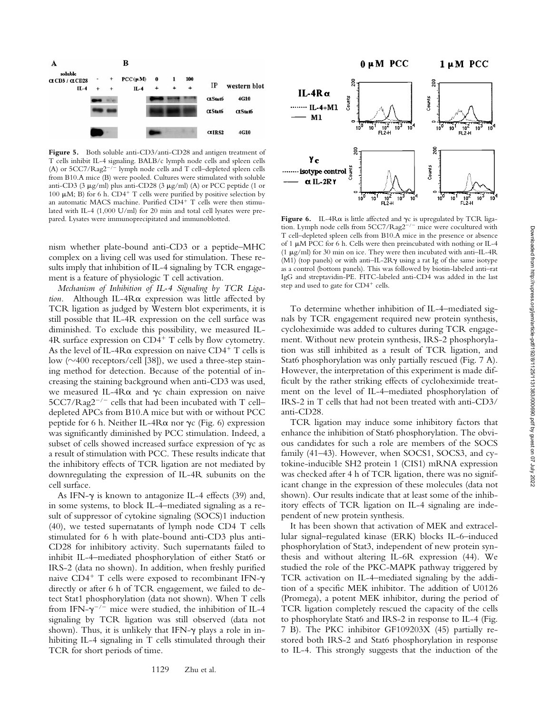

Figure 5. Both soluble anti-CD3/anti-CD28 and antigen treatment of T cells inhibit IL-4 signaling. BALB/c lymph node cells and spleen cells (A) or  $5CC7/Rag2^{-/-}$  lymph node cells and T cell–depleted spleen cells from B10.A mice (B) were pooled. Cultures were stimulated with soluble anti-CD3 (3  $\mu$ g/ml) plus anti-CD28 (3  $\mu$ g/ml) (A) or PCC peptide (1 or 100  $\mu$ M; B) for 6 h. CD4<sup>+</sup> T cells were purified by positive selection by an automatic MACS machine. Purified  $CD4^+$  T cells were then stimulated with IL-4 (1,000 U/ml) for 20 min and total cell lysates were prepared. Lysates were immunoprecipitated and immunoblotted. **Figure 6.** IL-4R $\alpha$  is little affected and  $\gamma c$  is upregulated by TCR liga-

nism whether plate-bound anti-CD3 or a peptide–MHC complex on a living cell was used for stimulation. These results imply that inhibition of IL-4 signaling by TCR engagement is a feature of physiologic T cell activation.

*Mechanism of Inhibition of IL-4 Signaling by TCR Ligation.* Although IL-4Ra expression was little affected by TCR ligation as judged by Western blot experiments, it is still possible that IL-4R expression on the cell surface was diminished. To exclude this possibility, we measured IL-4R surface expression on  $CD4^+$  T cells by flow cytometry. As the level of IL-4R $\alpha$  expression on naive CD4<sup>+</sup> T cells is low  $(\sim 400$  receptors/cell [38]), we used a three-step staining method for detection. Because of the potential of increasing the staining background when anti-CD3 was used, we measured IL-4R $\alpha$  and  $\gamma c$  chain expression on naive  $5CC7/Rag2^{-/-}$  cells that had been incubated with T cell– depleted APCs from B10.A mice but with or without PCC peptide for 6 h. Neither IL-4R $\alpha$  nor  $\gamma c$  (Fig. 6) expression was significantly diminished by PCC stimulation. Indeed, a subset of cells showed increased surface expression of  $\gamma c$  as a result of stimulation with PCC. These results indicate that the inhibitory effects of TCR ligation are not mediated by downregulating the expression of IL-4R subunits on the cell surface.

As IFN- $\gamma$  is known to antagonize IL-4 effects (39) and, in some systems, to block IL-4–mediated signaling as a result of suppressor of cytokine signaling (SOCS)1 induction (40), we tested supernatants of lymph node CD4 T cells stimulated for 6 h with plate-bound anti-CD3 plus anti-CD28 for inhibitory activity. Such supernatants failed to inhibit IL-4–mediated phosphorylation of either Stat6 or IRS-2 (data no shown). In addition, when freshly purified naive CD4<sup>+</sup> T cells were exposed to recombinant IFN- $\gamma$ directly or after 6 h of TCR engagement, we failed to detect Stat1 phosphorylation (data not shown). When T cells from IFN- $\gamma^{-/-}$  mice were studied, the inhibition of IL-4 signaling by TCR ligation was still observed (data not shown). Thus, it is unlikely that IFN- $\gamma$  plays a role in inhibiting IL-4 signaling in T cells stimulated through their TCR for short periods of time.



tion. Lymph node cells from  $5CC7/Rag2^{-/-}$  mice were cocultured with T cell–depleted spleen cells from B10.A mice in the presence or absence of 1  $\mu$ M PCC for 6 h. Cells were then preincubated with nothing or IL-4 (1  $\mu$ g/ml) for 30 min on ice. They were then incubated with anti-IL-4R (M1) (top panels) or with anti-IL-2R $\gamma$  using a rat Ig of the same isotype as a control (bottom panels). This was followed by biotin-labeled anti–rat IgG and streptavidin-PE. FITC-labeled anti-CD4 was added in the last step and used to gate for CD4<sup>+</sup> cells.

To determine whether inhibition of IL-4–mediated signals by TCR engagement required new protein synthesis, cycloheximide was added to cultures during TCR engagement. Without new protein synthesis, IRS-2 phosphorylation was still inhibited as a result of TCR ligation, and Stat6 phosphorylation was only partially rescued (Fig. 7 A). However, the interpretation of this experiment is made difficult by the rather striking effects of cycloheximide treatment on the level of IL-4–mediated phosphorylation of IRS-2 in T cells that had not been treated with anti-CD3/ anti-CD28.

TCR ligation may induce some inhibitory factors that enhance the inhibition of Stat6 phosphorylation. The obvious candidates for such a role are members of the SOCS family (41–43). However, when SOCS1, SOCS3, and cytokine-inducible SH2 protein 1 (CIS1) mRNA expression was checked after 4 h of TCR ligation, there was no significant change in the expression of these molecules (data not shown). Our results indicate that at least some of the inhibitory effects of TCR ligation on IL-4 signaling are independent of new protein synthesis.

It has been shown that activation of MEK and extracellular signal–regulated kinase (ERK) blocks IL-6–induced phosphorylation of Stat3, independent of new protein synthesis and without altering IL-6R expression (44). We studied the role of the PKC-MAPK pathway triggered by TCR activation on IL-4–mediated signaling by the addition of a specific MEK inhibitor. The addition of U0126 (Promega), a potent MEK inhibitor, during the period of TCR ligation completely rescued the capacity of the cells to phosphorylate Stat6 and IRS-2 in response to IL-4 (Fig. 7 B). The PKC inhibitor GF109203X (45) partially restored both IRS-2 and Stat6 phosphorylation in response to IL-4. This strongly suggests that the induction of the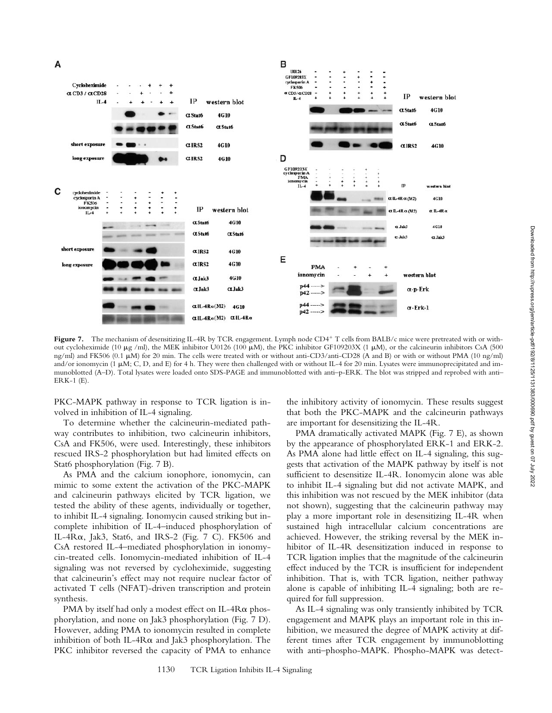

Figure 7. The mechanism of desensitizing IL-4R by TCR engagement. Lymph node CD4<sup>+</sup> T cells from BALB/c mice were pretreated with or without cycloheximide (10  $\mu$ g /ml), the MEK inhibitor U0126 (100  $\mu$ M), the PKC inhibitor GF109203X (1  $\mu$ M), or the calcineurin inhibitors CsA (500 ng/ml) and FK506 (0.1  $\mu$ M) for 20 min. The cells were treated with or without anti-CD3/anti-CD28 (A and B) or with or without PMA (10 ng/ml) and/or ionomycin (1  $\mu$ M; C, D, and E) for 4 h. They were then challenged with or without IL-4 for 20 min. Lysates were immunoprecipitated and immunoblotted (A–D). Total lysates were loaded onto SDS-PAGE and immunoblotted with anti–p-ERK. The blot was stripped and reprobed with anti– ERK-1 (E).

PKC-MAPK pathway in response to TCR ligation is involved in inhibition of IL-4 signaling.

To determine whether the calcineurin-mediated pathway contributes to inhibition, two calcineurin inhibitors, CsA and FK506, were used. Interestingly, these inhibitors rescued IRS-2 phosphorylation but had limited effects on Stat6 phosphorylation (Fig. 7 B).

As PMA and the calcium ionophore, ionomycin, can mimic to some extent the activation of the PKC-MAPK and calcineurin pathways elicited by TCR ligation, we tested the ability of these agents, individually or together, to inhibit IL-4 signaling. Ionomycin caused striking but incomplete inhibition of IL-4–induced phosphorylation of IL-4 $R\alpha$ , Jak3, Stat6, and IRS-2 (Fig. 7 C). FK506 and CsA restored IL-4–mediated phosphorylation in ionomycin-treated cells. Ionomycin-mediated inhibition of IL-4 signaling was not reversed by cycloheximide, suggesting that calcineurin's effect may not require nuclear factor of activated T cells (NFAT)-driven transcription and protein synthesis.

PMA by itself had only a modest effect on IL-4R $\alpha$  phosphorylation, and none on Jak3 phosphorylation (Fig. 7 D). However, adding PMA to ionomycin resulted in complete inhibition of both IL-4R $\alpha$  and Jak3 phosphorylation. The PKC inhibitor reversed the capacity of PMA to enhance the inhibitory activity of ionomycin. These results suggest that both the PKC-MAPK and the calcineurin pathways are important for desensitizing the IL-4R.

PMA dramatically activated MAPK (Fig. 7 E), as shown by the appearance of phosphorylated ERK-1 and ERK-2. As PMA alone had little effect on IL-4 signaling, this suggests that activation of the MAPK pathway by itself is not sufficient to desensitize IL-4R. Ionomycin alone was able to inhibit IL-4 signaling but did not activate MAPK, and this inhibition was not rescued by the MEK inhibitor (data not shown), suggesting that the calcineurin pathway may play a more important role in desensitizing IL-4R when sustained high intracellular calcium concentrations are achieved. However, the striking reversal by the MEK inhibitor of IL-4R desensitization induced in response to TCR ligation implies that the magnitude of the calcineurin effect induced by the TCR is insufficient for independent inhibition. That is, with TCR ligation, neither pathway alone is capable of inhibiting IL-4 signaling; both are required for full suppression.

As IL-4 signaling was only transiently inhibited by TCR engagement and MAPK plays an important role in this inhibition, we measured the degree of MAPK activity at different times after TCR engagement by immunoblotting with anti–phospho-MAPK. Phospho-MAPK was detect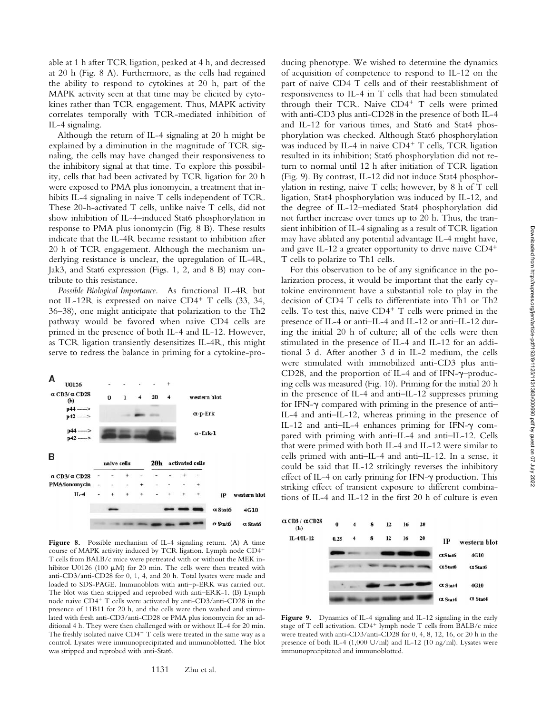able at 1 h after TCR ligation, peaked at 4 h, and decreased at 20 h (Fig. 8 A). Furthermore, as the cells had regained the ability to respond to cytokines at 20 h, part of the MAPK activity seen at that time may be elicited by cytokines rather than TCR engagement. Thus, MAPK activity correlates temporally with TCR-mediated inhibition of IL-4 signaling.

Although the return of IL-4 signaling at 20 h might be explained by a diminution in the magnitude of TCR signaling, the cells may have changed their responsiveness to the inhibitory signal at that time. To explore this possibility, cells that had been activated by TCR ligation for 20 h were exposed to PMA plus ionomycin, a treatment that inhibits IL-4 signaling in naive T cells independent of TCR. These 20-h-activated T cells, unlike naive T cells, did not show inhibition of IL-4–induced Stat6 phosphorylation in response to PMA plus ionomycin (Fig. 8 B). These results indicate that the IL-4R became resistant to inhibition after 20 h of TCR engagement. Although the mechanism underlying resistance is unclear, the upregulation of IL-4R, Jak3, and Stat6 expression (Figs. 1, 2, and 8 B) may contribute to this resistance.

*Possible Biological Importance.* As functional IL-4R but not IL-12R is expressed on naive CD4<sup>+</sup> T cells  $(33, 34, 14)$ 36–38), one might anticipate that polarization to the Th2 pathway would be favored when naive CD4 cells are primed in the presence of both IL-4 and IL-12. However, as TCR ligation transiently desensitizes IL-4R, this might serve to redress the balance in priming for a cytokine-pro-



**Figure 8.** Possible mechanism of IL-4 signaling return. (A) A time course of MAPK activity induced by TCR ligation. Lymph node CD4<sup>+</sup> T cells from BALB/c mice were pretreated with or without the MEK inhibitor U0126 (100  $\mu$ M) for 20 min. The cells were then treated with anti-CD3/anti-CD28 for 0, 1, 4, and 20 h. Total lysates were made and loaded to SDS-PAGE. Immunoblots with anti–p-ERK was carried out. The blot was then stripped and reprobed with anti–ERK-1. (B) Lymph node naive CD4<sup>+</sup> T cells were activated by anti-CD3/anti-CD28 in the presence of 11B11 for 20 h, and the cells were then washed and stimulated with fresh anti-CD3/anti-CD28 or PMA plus ionomycin for an additional 4 h. They were then challenged with or without IL-4 for 20 min. The freshly isolated naive  $CD4^+$  T cells were treated in the same way as a control. Lysates were immunoprecipitated and immunoblotted. The blot was stripped and reprobed with anti-Stat6.

ducing phenotype. We wished to determine the dynamics of acquisition of competence to respond to IL-12 on the part of naive CD4 T cells and of their reestablishment of responsiveness to IL-4 in T cells that had been stimulated through their TCR. Naive  $CD4^+$  T cells were primed with anti-CD3 plus anti-CD28 in the presence of both IL-4 and IL-12 for various times, and Stat6 and Stat4 phosphorylation was checked. Although Stat6 phosphorylation was induced by IL-4 in naive  $CD4^+$  T cells, TCR ligation resulted in its inhibition; Stat6 phosphorylation did not return to normal until 12 h after initiation of TCR ligation (Fig. 9). By contrast, IL-12 did not induce Stat4 phosphorylation in resting, naive T cells; however, by 8 h of T cell ligation, Stat4 phosphorylation was induced by IL-12, and the degree of IL-12–mediated Stat4 phosphorylation did not further increase over times up to 20 h. Thus, the transient inhibition of IL-4 signaling as a result of TCR ligation may have ablated any potential advantage IL-4 might have, and gave IL-12 a greater opportunity to drive naive  $CD4<sup>+</sup>$ T cells to polarize to Th1 cells.

For this observation to be of any significance in the polarization process, it would be important that the early cytokine environment have a substantial role to play in the decision of CD4 T cells to differentiate into Th1 or Th2 cells. To test this, naive  $CD4^+$  T cells were primed in the presence of IL-4 or anti–IL-4 and IL-12 or anti–IL-12 during the initial 20 h of culture; all of the cells were then stimulated in the presence of IL-4 and IL-12 for an additional 3 d. After another 3 d in IL-2 medium, the cells were stimulated with immobilized anti-CD3 plus anti-CD28, and the proportion of IL-4 and of IFN- $\gamma$ -producing cells was measured (Fig. 10). Priming for the initial 20 h in the presence of IL-4 and anti–IL-12 suppresses priming for IFN- $\gamma$  compared with priming in the presence of anti-IL-4 and anti–IL-12, whereas priming in the presence of IL-12 and anti-IL-4 enhances priming for IFN- $\gamma$  compared with priming with anti–IL-4 and anti–IL-12. Cells that were primed with both IL-4 and IL-12 were similar to cells primed with anti–IL-4 and anti–IL-12. In a sense, it could be said that IL-12 strikingly reverses the inhibitory effect of IL-4 on early priming for IFN- $\gamma$  production. This striking effect of transient exposure to different combinations of IL-4 and IL-12 in the first 20 h of culture is even



Figure 9. Dynamics of IL-4 signaling and IL-12 signaling in the early stage of T cell activation. CD4<sup>+</sup> lymph node T cells from BALB/c mice were treated with anti-CD3/anti-CD28 for 0, 4, 8, 12, 16, or 20 h in the presence of both IL-4 (1,000 U/ml) and IL-12 (10 ng/ml). Lysates were immunoprecipitated and immunoblotted.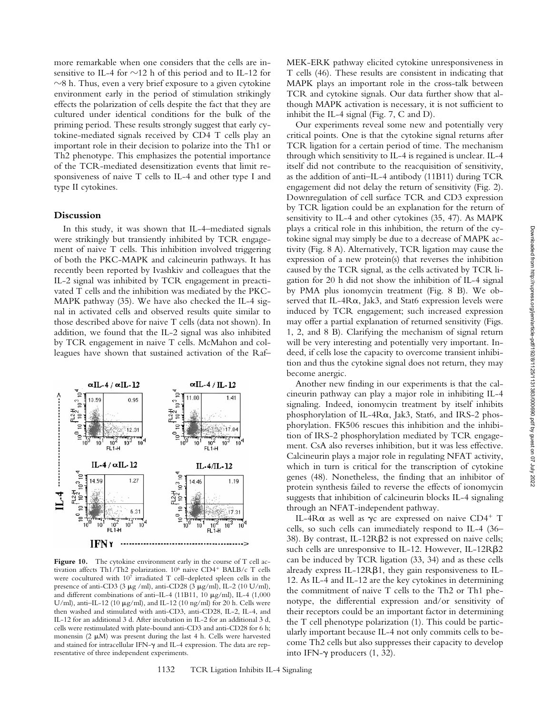more remarkable when one considers that the cells are insensitive to IL-4 for  $\sim$ 12 h of this period and to IL-12 for  $\sim$ 8 h. Thus, even a very brief exposure to a given cytokine environment early in the period of stimulation strikingly effects the polarization of cells despite the fact that they are cultured under identical conditions for the bulk of the priming period. These results strongly suggest that early cytokine-mediated signals received by CD4 T cells play an important role in their decision to polarize into the Th1 or Th2 phenotype. This emphasizes the potential importance of the TCR-mediated desensitization events that limit responsiveness of naive T cells to IL-4 and other type I and type II cytokines.

#### **Discussion**

In this study, it was shown that IL-4–mediated signals were strikingly but transiently inhibited by TCR engagement of naive T cells. This inhibition involved triggering of both the PKC-MAPK and calcineurin pathways. It has recently been reported by Ivashkiv and colleagues that the IL-2 signal was inhibited by TCR engagement in preactivated T cells and the inhibition was mediated by the PKC-MAPK pathway (35). We have also checked the IL-4 signal in activated cells and observed results quite similar to those described above for naive T cells (data not shown). In addition, we found that the IL-2 signal was also inhibited by TCR engagement in naive T cells. McMahon and colleagues have shown that sustained activation of the Raf–



**Figure 10.** The cytokine environment early in the course of T cell activation affects Th1/Th2 polarization.  $10^6$  naive CD4<sup>+</sup> BALB/c T cells were cocultured with  $10^7$  irradiated T cell–depleted spleen cells in the presence of anti-CD3 (3  $\mu$ g /ml), anti-CD28 (3  $\mu$ g/ml), IL-2 (10 U/ml), and different combinations of anti-IL-4 (11B11, 10  $\mu$ g/ml), IL-4 (1,000 U/ml), anti-IL-12 (10  $\mu$ g/ml), and IL-12 (10 ng/ml) for 20 h. Cells were then washed and stimulated with anti-CD3, anti-CD28, IL-2, IL-4, and IL-12 for an additional 3 d. After incubation in IL-2 for an additional 3 d, cells were restimulated with plate-bound anti-CD3 and anti-CD28 for 6 h; monensin (2  $\mu$ M) was present during the last 4 h. Cells were harvested and stained for intracellular IFN- $\gamma$  and IL-4 expression. The data are representative of three independent experiments.

MEK-ERK pathway elicited cytokine unresponsiveness in T cells (46). These results are consistent in indicating that MAPK plays an important role in the cross-talk between TCR and cytokine signals. Our data further show that although MAPK activation is necessary, it is not sufficient to inhibit the IL-4 signal (Fig. 7, C and D).

Our experiments reveal some new and potentially very critical points. One is that the cytokine signal returns after TCR ligation for a certain period of time. The mechanism through which sensitivity to IL-4 is regained is unclear. IL-4 itself did not contribute to the reacquisition of sensitivity, as the addition of anti–IL-4 antibody (11B11) during TCR engagement did not delay the return of sensitivity (Fig. 2). Downregulation of cell surface TCR and CD3 expression by TCR ligation could be an explanation for the return of sensitivity to IL-4 and other cytokines (35, 47). As MAPK plays a critical role in this inhibition, the return of the cytokine signal may simply be due to a decrease of MAPK activity (Fig. 8 A). Alternatively, TCR ligation may cause the expression of a new protein(s) that reverses the inhibition caused by the TCR signal, as the cells activated by TCR ligation for 20 h did not show the inhibition of IL-4 signal by PMA plus ionomycin treatment (Fig. 8 B). We observed that IL-4Ra, Jak3, and Stat6 expression levels were induced by TCR engagement; such increased expression may offer a partial explanation of returned sensitivity (Figs. 1, 2, and 8 B). Clarifying the mechanism of signal return will be very interesting and potentially very important. Indeed, if cells lose the capacity to overcome transient inhibition and thus the cytokine signal does not return, they may become anergic.

Another new finding in our experiments is that the calcineurin pathway can play a major role in inhibiting IL-4 signaling. Indeed, ionomycin treatment by itself inhibits phosphorylation of IL-4Ra, Jak3, Stat6, and IRS-2 phosphorylation. FK506 rescues this inhibition and the inhibition of IRS-2 phosphorylation mediated by TCR engagement. CsA also reverses inhibition, but it was less effective. Calcineurin plays a major role in regulating NFAT activity, which in turn is critical for the transcription of cytokine genes (48). Nonetheless, the finding that an inhibitor of protein synthesis failed to reverse the effects of ionomycin suggests that inhibition of calcineurin blocks IL-4 signaling through an NFAT-independent pathway.

IL-4R $\alpha$  as well as  $\gamma c$  are expressed on naive CD4<sup>+</sup> T cells, so such cells can immediately respond to IL-4 (36– 38). By contrast, IL-12R $\beta$ 2 is not expressed on naive cells; such cells are unresponsive to IL-12. However, IL-12RB2 can be induced by TCR ligation (33, 34) and as these cells already express IL-12R $\beta$ 1, they gain responsiveness to IL-12. As IL-4 and IL-12 are the key cytokines in determining the commitment of naive T cells to the Th2 or Th1 phenotype, the differential expression and/or sensitivity of their receptors could be an important factor in determining the T cell phenotype polarization (1). This could be particularly important because IL-4 not only commits cells to become Th2 cells but also suppresses their capacity to develop into IFN- $\gamma$  producers (1, 32).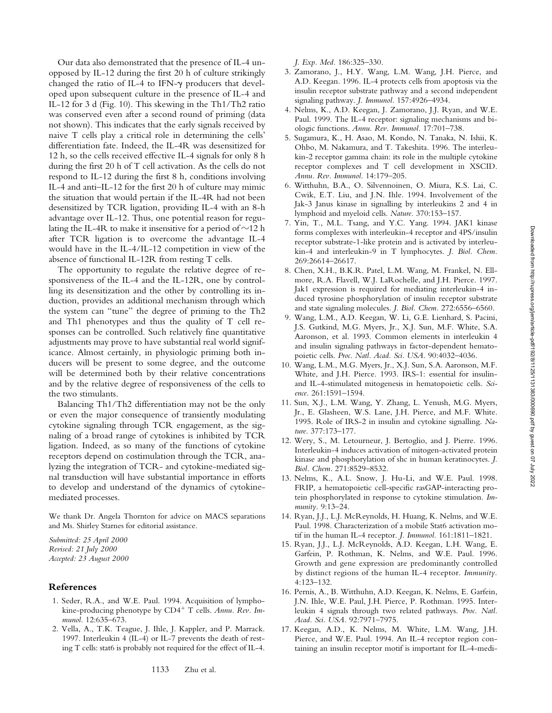Our data also demonstrated that the presence of IL-4 unopposed by IL-12 during the first 20 h of culture strikingly changed the ratio of IL-4 to IFN- $\gamma$  producers that developed upon subsequent culture in the presence of IL-4 and IL-12 for 3 d (Fig. 10). This skewing in the Th1/Th2 ratio was conserved even after a second round of priming (data not shown). This indicates that the early signals received by naive T cells play a critical role in determining the cells' differentiation fate. Indeed, the IL-4R was desensitized for 12 h, so the cells received effective IL-4 signals for only 8 h during the first 20 h of T cell activation. As the cells do not respond to IL-12 during the first 8 h, conditions involving IL-4 and anti–IL-12 for the first 20 h of culture may mimic the situation that would pertain if the IL-4R had not been desensitized by TCR ligation, providing IL-4 with an 8-h advantage over IL-12. Thus, one potential reason for regulating the IL-4R to make it insensitive for a period of  $\sim$ 12 h after TCR ligation is to overcome the advantage IL-4 would have in the IL-4/IL-12 competition in view of the absence of functional IL-12R from resting T cells.

The opportunity to regulate the relative degree of responsiveness of the IL-4 and the IL-12R, one by controlling its desensitization and the other by controlling its induction, provides an additional mechanism through which the system can "tune" the degree of priming to the Th2 and Th1 phenotypes and thus the quality of T cell responses can be controlled. Such relatively fine quantitative adjustments may prove to have substantial real world significance. Almost certainly, in physiologic priming both inducers will be present to some degree, and the outcome will be determined both by their relative concentrations and by the relative degree of responsiveness of the cells to the two stimulants.

Balancing Th1/Th2 differentiation may not be the only or even the major consequence of transiently modulating cytokine signaling through TCR engagement, as the signaling of a broad range of cytokines is inhibited by TCR ligation. Indeed, as so many of the functions of cytokine receptors depend on costimulation through the TCR, analyzing the integration of TCR- and cytokine-mediated signal transduction will have substantial importance in efforts to develop and understand of the dynamics of cytokinemediated processes.

We thank Dr. Angela Thornton for advice on MACS separations and Ms. Shirley Starnes for editorial assistance.

*Submitted: 25 April 2000 Revised: 21 July 2000 Accepted: 23 August 2000*

### **References**

- 1. Seder, R.A., and W.E. Paul. 1994. Acquisition of lymphokine-producing phenotype by CD4<sup>+</sup> T cells. Annu. Rev. Im*munol.* 12:635–673.
- 2. Vella, A., T.K. Teague, J. Ihle, J. Kappler, and P. Marrack. 1997. Interleukin 4 (IL-4) or IL-7 prevents the death of resting T cells: stat6 is probably not required for the effect of IL-4.

*J. Exp. Med.* 186:325–330.

- 3. Zamorano, J., H.Y. Wang, L.M. Wang, J.H. Pierce, and A.D. Keegan. 1996. IL-4 protects cells from apoptosis via the insulin receptor substrate pathway and a second independent signaling pathway. *J. Immunol.* 157:4926–4934.
- 4. Nelms, K., A.D. Keegan, J. Zamorano, J.J. Ryan, and W.E. Paul. 1999. The IL-4 receptor: signaling mechanisms and biologic functions. *Annu. Rev. Immunol.* 17:701–738.
- 5. Sugamura, K., H. Asao, M. Kondo, N. Tanaka, N. Ishii, K. Ohbo, M. Nakamura, and T. Takeshita. 1996. The interleukin-2 receptor gamma chain: its role in the multiple cytokine receptor complexes and T cell development in XSCID. *Annu. Rev. Immunol.* 14:179–205.
- 6. Witthuhn, B.A., O. Silvennoinen, O. Miura, K.S. Lai, C. Cwik, E.T. Liu, and J.N. Ihle. 1994. Involvement of the Jak-3 Janus kinase in signalling by interleukins 2 and 4 in lymphoid and myeloid cells. *Nature.* 370:153–157.
- 7. Yin, T., M.L. Tsang, and Y.C. Yang. 1994. JAK1 kinase forms complexes with interleukin-4 receptor and 4PS/insulin receptor substrate-1-like protein and is activated by interleukin-4 and interleukin-9 in T lymphocytes. *J. Biol. Chem.* 269:26614–26617.
- 8. Chen, X.H., B.K.R. Patel, L.M. Wang, M. Frankel, N. Ellmore, R.A. Flavell, W.J. LaRochelle, and J.H. Pierce. 1997. Jak1 expression is required for mediating interleukin-4 induced tyrosine phosphorylation of insulin receptor substrate and state signaling molecules. *J. Biol. Chem.* 272:6556–6560.
- 9. Wang, L.M., A.D. Keegan, W. Li, G.E. Lienhard, S. Pacini, J.S. Gutkind, M.G. Myers, Jr., X.J. Sun, M.F. White, S.A. Aaronson, et al. 1993. Common elements in interleukin 4 and insulin signaling pathways in factor-dependent hematopoietic cells. *Proc. Natl. Acad. Sci. USA.* 90:4032–4036.
- 10. Wang, L.M., M.G. Myers, Jr., X.J. Sun, S.A. Aaronson, M.F. White, and J.H. Pierce. 1993. IRS-1: essential for insulinand IL-4-stimulated mitogenesis in hematopoietic cells. *Science.* 261:1591–1594.
- 11. Sun, X.J., L.M. Wang, Y. Zhang, L. Yenush, M.G. Myers, Jr., E. Glasheen, W.S. Lane, J.H. Pierce, and M.F. White. 1995. Role of IRS-2 in insulin and cytokine signalling. *Nature.* 377:173–177.
- 12. Wery, S., M. Letourneur, J. Bertoglio, and J. Pierre. 1996. Interleukin-4 induces activation of mitogen-activated protein kinase and phosphorylation of shc in human keratinocytes. *J. Biol. Chem.* 271:8529–8532.
- 13. Nelms, K., A.L. Snow, J. Hu-Li, and W.E. Paul. 1998. FRIP, a hematopoietic cell-specific rasGAP-interacting protein phosphorylated in response to cytokine stimulation. *Immunity.* 9:13–24.
- 14. Ryan, J.J., L.J. McReynolds, H. Huang, K. Nelms, and W.E. Paul. 1998. Characterization of a mobile Stat6 activation motif in the human IL-4 receptor. *J. Immunol.* 161:1811–1821.
- 15. Ryan, J.J., L.J. McReynolds, A.D. Keegan, L.H. Wang, E. Garfein, P. Rothman, K. Nelms, and W.E. Paul. 1996. Growth and gene expression are predominantly controlled by distinct regions of the human IL-4 receptor. *Immunity.* 4:123–132.
- 16. Pernis, A., B. Witthuhn, A.D. Keegan, K. Nelms, E. Garfein, J.N. Ihle, W.E. Paul, J.H. Pierce, P. Rothman. 1995. Interleukin 4 signals through two related pathways. *Proc. Natl. Acad. Sci. USA.* 92:7971–7975.
- 17. Keegan, A.D., K. Nelms, M. White, L.M. Wang, J.H. Pierce, and W.E. Paul. 1994. An IL-4 receptor region containing an insulin receptor motif is important for IL-4-medi-